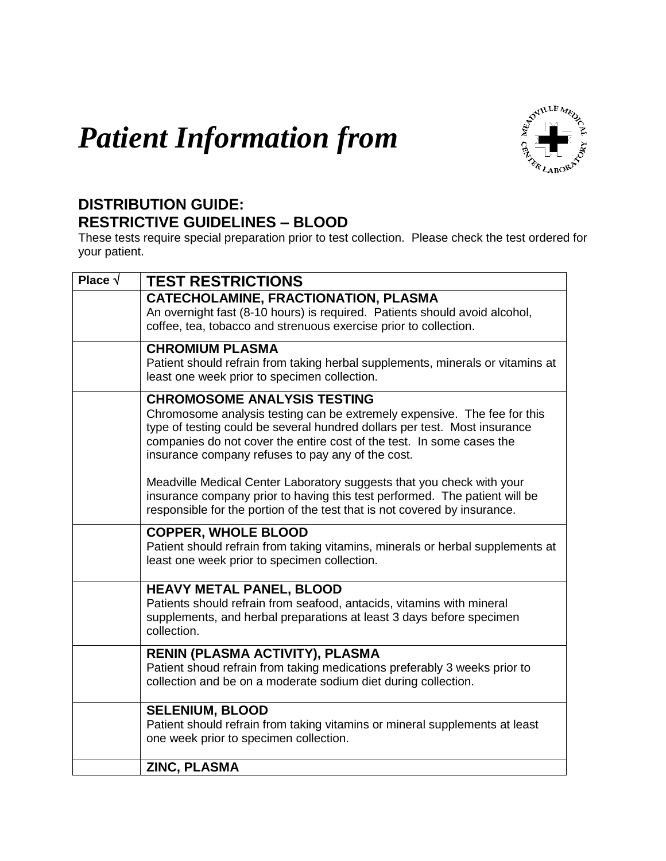## *Patient Information from*



## **DISTRIBUTION GUIDE: RESTRICTIVE GUIDELINES – BLOOD**

These tests require special preparation prior to test collection. Please check the test ordered for your patient.

| Place $\sqrt{}$ | <b>TEST RESTRICTIONS</b>                                                                                                                                                                                                                                                                                                  |
|-----------------|---------------------------------------------------------------------------------------------------------------------------------------------------------------------------------------------------------------------------------------------------------------------------------------------------------------------------|
|                 | <b>CATECHOLAMINE, FRACTIONATION, PLASMA</b><br>An overnight fast (8-10 hours) is required. Patients should avoid alcohol,<br>coffee, tea, tobacco and strenuous exercise prior to collection.                                                                                                                             |
|                 | <b>CHROMIUM PLASMA</b><br>Patient should refrain from taking herbal supplements, minerals or vitamins at<br>least one week prior to specimen collection.                                                                                                                                                                  |
|                 | <b>CHROMOSOME ANALYSIS TESTING</b><br>Chromosome analysis testing can be extremely expensive. The fee for this<br>type of testing could be several hundred dollars per test. Most insurance<br>companies do not cover the entire cost of the test. In some cases the<br>insurance company refuses to pay any of the cost. |
|                 | Meadville Medical Center Laboratory suggests that you check with your<br>insurance company prior to having this test performed. The patient will be<br>responsible for the portion of the test that is not covered by insurance.                                                                                          |
|                 | <b>COPPER, WHOLE BLOOD</b><br>Patient should refrain from taking vitamins, minerals or herbal supplements at<br>least one week prior to specimen collection.                                                                                                                                                              |
|                 | <b>HEAVY METAL PANEL, BLOOD</b><br>Patients should refrain from seafood, antacids, vitamins with mineral<br>supplements, and herbal preparations at least 3 days before specimen<br>collection.                                                                                                                           |
|                 | RENIN (PLASMA ACTIVITY), PLASMA<br>Patient shoud refrain from taking medications preferably 3 weeks prior to<br>collection and be on a moderate sodium diet during collection.                                                                                                                                            |
|                 | <b>SELENIUM, BLOOD</b><br>Patient should refrain from taking vitamins or mineral supplements at least<br>one week prior to specimen collection.                                                                                                                                                                           |
|                 | ZINC, PLASMA                                                                                                                                                                                                                                                                                                              |